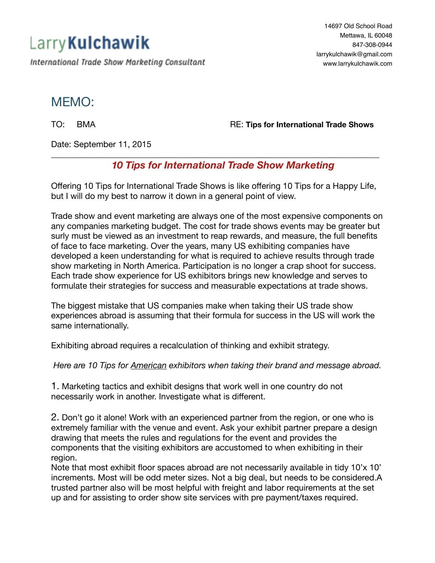## Larry Kulchawik

International Trade Show Marketing Consultant

14697 Old School Road Mettawa, IL 60048 847-308-0944 [larrykulchawik@gmail.com](mailto:larrykulchawik@gmail.com) [www.larrykulchawik.com](http://www.larrykulchawik.com)

## MEMO:

TO: BMA **BMA RE: Tips for International Trade Shows** 

Date: September 11, 2015

## *10 Tips for International Trade Show Marketing*

Offering 10 Tips for International Trade Shows is like offering 10 Tips for a Happy Life, but I will do my best to narrow it down in a general point of view.

\_\_\_\_\_\_\_\_\_\_\_\_\_\_\_\_\_\_\_\_\_\_\_\_\_\_\_\_\_\_\_\_\_\_\_\_\_\_\_\_\_\_\_\_\_\_\_\_\_\_\_\_\_\_\_\_\_\_\_\_\_\_\_\_\_\_\_\_\_\_\_\_\_\_\_\_\_

Trade show and event marketing are always one of the most expensive components on any companies marketing budget. The cost for trade shows events may be greater but surly must be viewed as an investment to reap rewards, and measure, the full benefits of face to face marketing. Over the years, many US exhibiting companies have developed a keen understanding for what is required to achieve results through trade show marketing in North America. Participation is no longer a crap shoot for success. Each trade show experience for US exhibitors brings new knowledge and serves to formulate their strategies for success and measurable expectations at trade shows.

The biggest mistake that US companies make when taking their US trade show experiences abroad is assuming that their formula for success in the US will work the same internationally.

Exhibiting abroad requires a recalculation of thinking and exhibit strategy.

*Here are 10 Tips for American exhibitors when taking their brand and message abroad.* 

1. Marketing tactics and exhibit designs that work well in one country do not necessarily work in another. Investigate what is different.

2. Don't go it alone! Work with an experienced partner from the region, or one who is extremely familiar with the venue and event. Ask your exhibit partner prepare a design drawing that meets the rules and regulations for the event and provides the components that the visiting exhibitors are accustomed to when exhibiting in their region.

Note that most exhibit floor spaces abroad are not necessarily available in tidy 10'x 10' increments. Most will be odd meter sizes. Not a big deal, but needs to be considered.A trusted partner also will be most helpful with freight and labor requirements at the set up and for assisting to order show site services with pre payment/taxes required.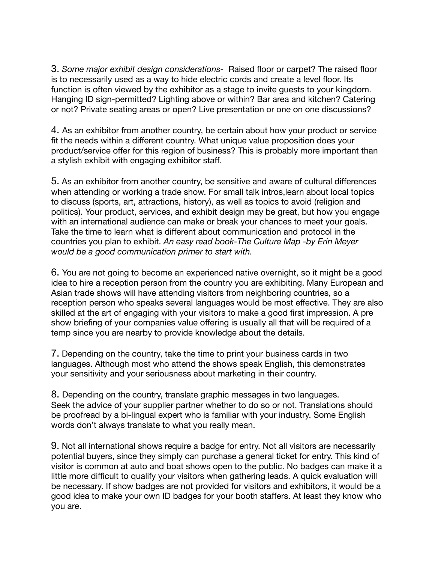3. *Some major exhibit design considerations-* Raised floor or carpet? The raised floor is to necessarily used as a way to hide electric cords and create a level floor. Its function is often viewed by the exhibitor as a stage to invite guests to your kingdom. Hanging ID sign-permitted? Lighting above or within? Bar area and kitchen? Catering or not? Private seating areas or open? Live presentation or one on one discussions?

4. As an exhibitor from another country, be certain about how your product or service fit the needs within a different country. What unique value proposition does your product/service offer for this region of business? This is probably more important than a stylish exhibit with engaging exhibitor staff.

5. As an exhibitor from another country, be sensitive and aware of cultural differences when attending or working a trade show. For small talk intros,learn about local topics to discuss (sports, art, attractions, history), as well as topics to avoid (religion and politics). Your product, services, and exhibit design may be great, but how you engage with an international audience can make or break your chances to meet your goals. Take the time to learn what is different about communication and protocol in the countries you plan to exhibit. *An easy read book-The Culture Map -by Erin Meyer would be a good communication primer to start with.* 

6. You are not going to become an experienced native overnight, so it might be a good idea to hire a reception person from the country you are exhibiting. Many European and Asian trade shows will have attending visitors from neighboring countries, so a reception person who speaks several languages would be most effective. They are also skilled at the art of engaging with your visitors to make a good first impression. A pre show briefing of your companies value offering is usually all that will be required of a temp since you are nearby to provide knowledge about the details.

7. Depending on the country, take the time to print your business cards in two languages. Although most who attend the shows speak English, this demonstrates your sensitivity and your seriousness about marketing in their country.

8. Depending on the country, translate graphic messages in two languages. Seek the advice of your supplier partner whether to do so or not. Translations should be proofread by a bi-lingual expert who is familiar with your industry. Some English words don't always translate to what you really mean.

9. Not all international shows require a badge for entry. Not all visitors are necessarily potential buyers, since they simply can purchase a general ticket for entry. This kind of visitor is common at auto and boat shows open to the public. No badges can make it a little more difficult to qualify your visitors when gathering leads. A quick evaluation will be necessary. If show badges are not provided for visitors and exhibitors, it would be a good idea to make your own ID badges for your booth staffers. At least they know who you are.